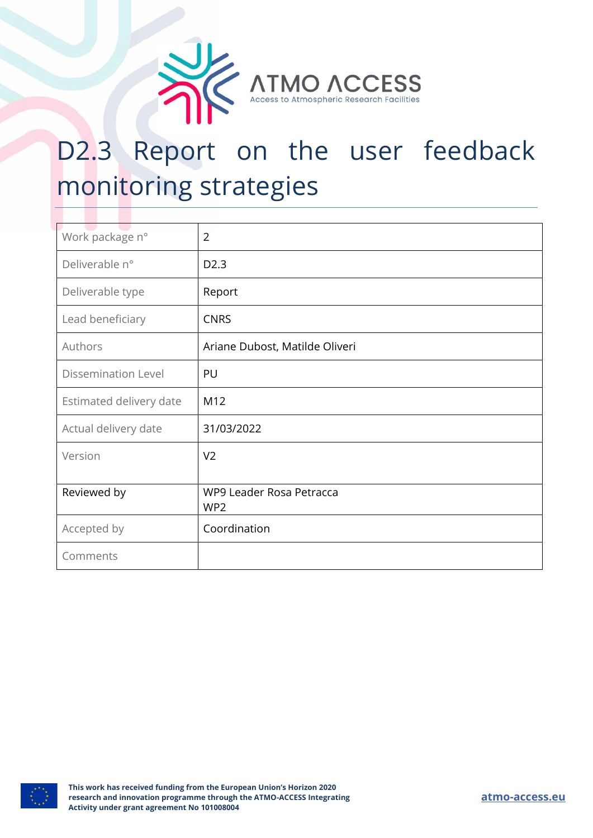

# D2.3 Report on the user feedback monitoring strategies

| Work package n°            | $\overline{2}$                 |
|----------------------------|--------------------------------|
| Deliverable n°             | D <sub>2.3</sub>               |
| Deliverable type           | Report                         |
| Lead beneficiary           | <b>CNRS</b>                    |
| Authors                    | Ariane Dubost, Matilde Oliveri |
| <b>Dissemination Level</b> | PU                             |
| Estimated delivery date    | M12                            |
| Actual delivery date       | 31/03/2022                     |
| Version                    | V <sub>2</sub>                 |
|                            |                                |
| Reviewed by                | WP9 Leader Rosa Petracca       |
|                            | WP <sub>2</sub>                |
| Accepted by                | Coordination                   |
| Comments                   |                                |

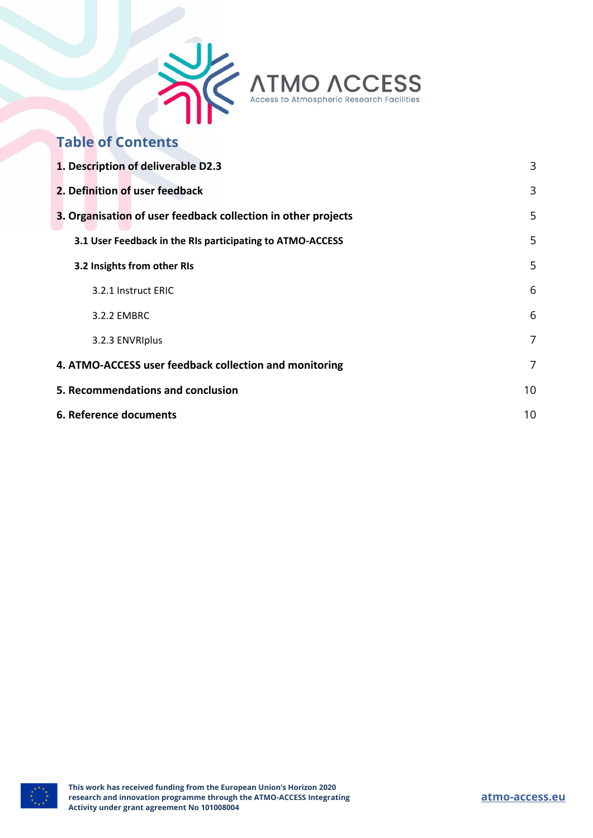

## **Table of Contents**

| 1. Description of deliverable D2.3                            | 3  |
|---------------------------------------------------------------|----|
| 2. Definition of user feedback                                | 3  |
| 3. Organisation of user feedback collection in other projects | 5  |
| 3.1 User Feedback in the RIs participating to ATMO-ACCESS     | 5  |
| 3.2 Insights from other RIs                                   | 5  |
| 3.2.1 Instruct ERIC                                           | 6  |
| 3.2.2 EMBRC                                                   | 6  |
| 3.2.3 ENVRIplus                                               | 7  |
| 4. ATMO-ACCESS user feedback collection and monitoring        |    |
| 5. Recommendations and conclusion                             | 10 |
| 6. Reference documents                                        |    |

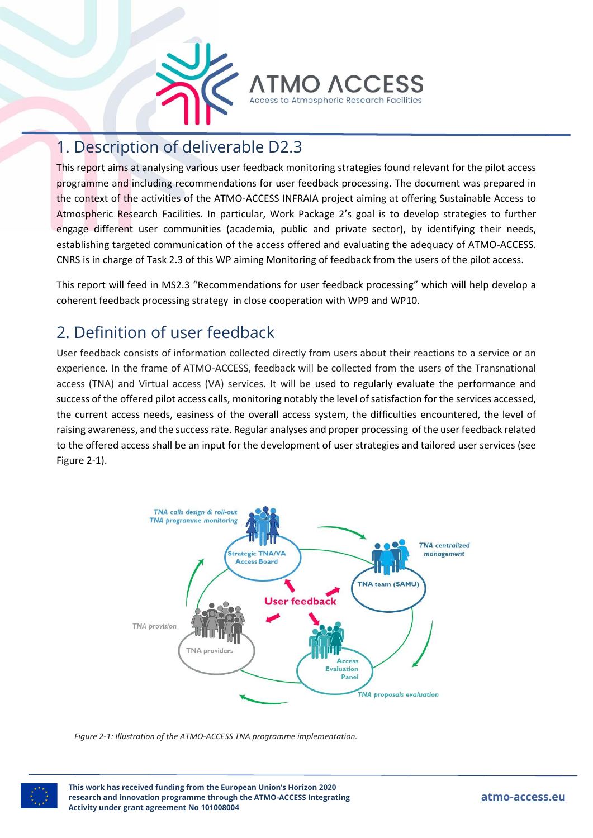

## <span id="page-2-0"></span>1. Description of deliverable D2.3

This report aims at analysing various user feedback monitoring strategies found relevant for the pilot access programme and including recommendations for user feedback processing. The document was prepared in the context of the activities of the ATMO-ACCESS INFRAIA project aiming at offering Sustainable Access to Atmospheric Research Facilities. In particular, Work Package 2's goal is to develop strategies to further engage different user communities (academia, public and private sector), by identifying their needs, establishing targeted communication of the access offered and evaluating the adequacy of ATMO-ACCESS. CNRS is in charge of Task 2.3 of this WP aiming Monitoring of feedback from the users of the pilot access.

This report will feed in MS2.3 "Recommendations for user feedback processing" which will help develop a coherent feedback processing strategy in close cooperation with WP9 and WP10.

# <span id="page-2-1"></span>2. Definition of user feedback

User feedback consists of information collected directly from users about their reactions to a service or an experience. In the frame of ATMO-ACCESS, feedback will be collected from the users of the Transnational access (TNA) and Virtual access (VA) services. It will be used to regularly evaluate the performance and success of the offered pilot access calls, monitoring notably the level of satisfaction for the services accessed, the current access needs, easiness of the overall access system, the difficulties encountered, the level of raising awareness, and the success rate. Regular analyses and proper processing of the user feedback related to the offered access shall be an input for the development of user strategies and tailored user services (see Figure 2-1).



*Figure 2-1: Illustration of the ATMO-ACCESS TNA programme implementation.*

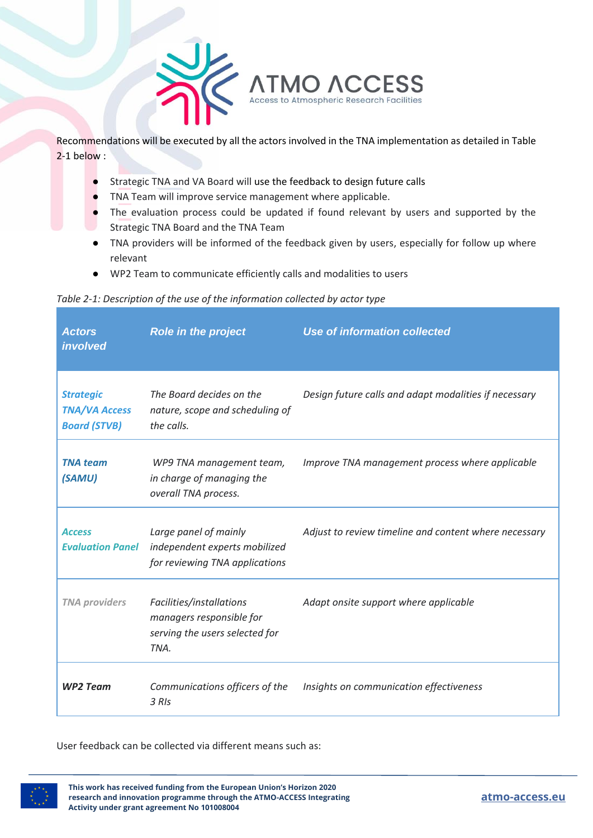

Recommendations will be executed by all the actors involved in the TNA implementation as detailed in Table 2-1 below :

- Strategic TNA and VA Board will use the feedback to design future calls
- TNA Team will improve service management where applicable.
- The evaluation process could be updated if found relevant by users and supported by the Strategic TNA Board and the TNA Team
- TNA providers will be informed of the feedback given by users, especially for follow up where relevant
- WP2 Team to communicate efficiently calls and modalities to users

#### *Table 2-1: Description of the use of the information collected by actor type*

| <b>Actors</b><br>involved                                       | <b>Role in the project</b>                                                                     | <b>Use of information collected</b>                   |
|-----------------------------------------------------------------|------------------------------------------------------------------------------------------------|-------------------------------------------------------|
| <b>Strategic</b><br><b>TNA/VA Access</b><br><b>Board (STVB)</b> | The Board decides on the<br>nature, scope and scheduling of<br>the calls.                      | Design future calls and adapt modalities if necessary |
| <b>TNA</b> team<br>(SAMU)                                       | WP9 TNA management team,<br>in charge of managing the<br>overall TNA process.                  | Improve TNA management process where applicable       |
| <b>Access</b><br><b>Evaluation Panel</b>                        | Large panel of mainly<br>independent experts mobilized<br>for reviewing TNA applications       | Adjust to review timeline and content where necessary |
| <b>TNA providers</b>                                            | Facilities/installations<br>managers responsible for<br>serving the users selected for<br>TNA. | Adapt onsite support where applicable                 |
| <b>WP2 Team</b>                                                 | Communications officers of the<br>3 RIs                                                        | Insights on communication effectiveness               |

User feedback can be collected via different means such as:

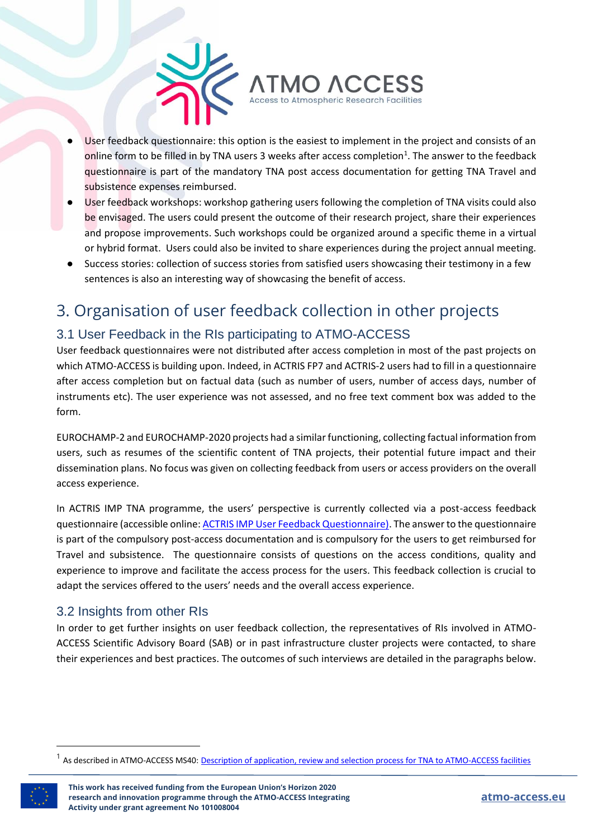

- User feedback questionnaire: this option is the easiest to implement in the project and consists of an online form to be filled in by TNA users 3 weeks after access completion<sup>1</sup>. The answer to the feedback questionnaire is part of the mandatory TNA post access documentation for getting TNA Travel and subsistence expenses reimbursed.
- User feedback workshops: workshop gathering users following the completion of TNA visits could also be envisaged. The users could present the outcome of their research project, share their experiences and propose improvements. Such workshops could be organized around a specific theme in a virtual or hybrid format. Users could also be invited to share experiences during the project annual meeting.
- Success stories: collection of success stories from satisfied users showcasing their testimony in a few sentences is also an interesting way of showcasing the benefit of access.

# <span id="page-4-0"></span>3. Organisation of user feedback collection in other projects

## <span id="page-4-1"></span>3.1 User Feedback in the RIs participating to ATMO-ACCESS

User feedback questionnaires were not distributed after access completion in most of the past projects on which ATMO-ACCESS is building upon. Indeed, in ACTRIS FP7 and ACTRIS-2 users had to fill in a questionnaire after access completion but on factual data (such as number of users, number of access days, number of instruments etc). The user experience was not assessed, and no free text comment box was added to the form.

EUROCHAMP-2 and EUROCHAMP-2020 projects had a similar functioning, collecting factual information from users, such as resumes of the scientific content of TNA projects, their potential future impact and their dissemination plans. No focus was given on collecting feedback from users or access providers on the overall access experience.

In ACTRIS IMP TNA programme, the users' perspective is currently collected via a post-access feedback questionnaire (accessible online[: ACTRIS IMP User Feedback Questionnaire\).](https://docs.google.com/forms/d/e/1FAIpQLSf8uoRg8wuQ6HaneG1YHo12xLmWRHSIBFXc92Sy4Z3SdoxnhQ/viewform) The answer to the questionnaire is part of the compulsory post-access documentation and is compulsory for the users to get reimbursed for Travel and subsistence. The questionnaire consists of questions on the access conditions, quality and experience to improve and facilitate the access process for the users. This feedback collection is crucial to adapt the services offered to the users' needs and the overall access experience.

## <span id="page-4-2"></span>3.2 Insights from other RIs

In order to get further insights on user feedback collection, the representatives of RIs involved in ATMO-ACCESS Scientific Advisory Board (SAB) or in past infrastructure cluster projects were contacted, to share their experiences and best practices. The outcomes of such interviews are detailed in the paragraphs below.

<sup>&</sup>lt;sup>1</sup> As described in ATMO-ACCESS MS40: <u>[Description of application, review and selection process for TNA to ATMO-ACCESS facilities](https://www7.obs-mip.fr/wp-content-aeris/uploads/sites/82/2021/10/ATMO_ACCESS_WP9_Milestone40.pdf)</u>

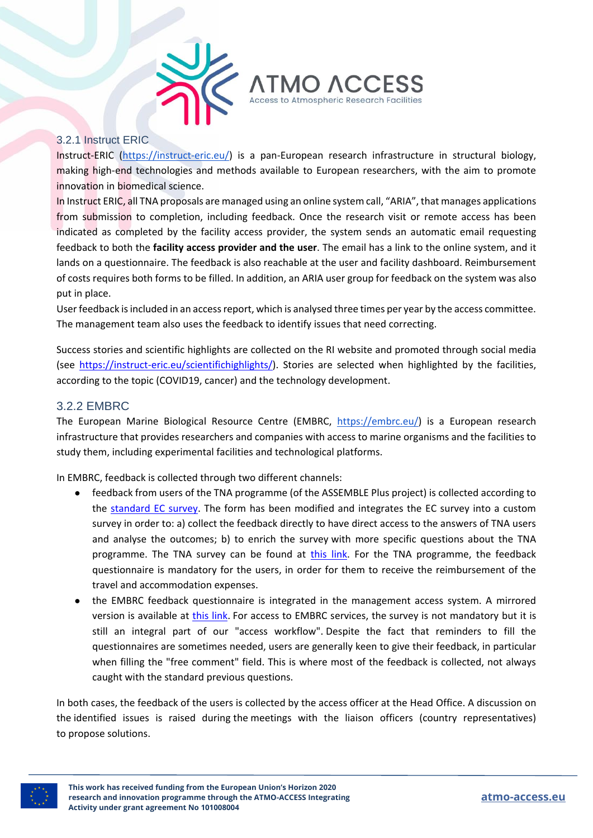

### <span id="page-5-0"></span>3.2.1 Instruct ERIC

Instruct-ERIC [\(https://instruct-eric.eu/\)](https://instruct-eric.eu/) is a pan-European research infrastructure in structural biology, making high-end technologies and methods available to European researchers, with the aim to promote innovation in biomedical science.

In Instruct ERIC, all TNA proposals are managed using an online system call, "ARIA", that manages applications from submission to completion, including feedback. Once the research visit or remote access has been indicated as completed by the facility access provider, the system sends an automatic email requesting feedback to both the **facility access provider and the user**. The email has a link to the online system, and it lands on a questionnaire. The feedback is also reachable at the user and facility dashboard. Reimbursement of costs requires both forms to be filled. In addition, an ARIA user group for feedback on the system was also put in place.

User feedback is included in an access report, which is analysed three times per year by the access committee. The management team also uses the feedback to identify issues that need correcting.

Success stories and scientific highlights are collected on the RI website and promoted through social media (see [https://instruct-eric.eu/scientifichighlights/\)](https://instruct-eric.eu/scientifichighlights/). Stories are selected when highlighted by the facilities, according to the topic (COVID19, cancer) and the technology development.

## <span id="page-5-1"></span>3.2.2 EMBRC

The European Marine Biological Resource Centre (EMBRC, [https://embrc.eu/\)](https://embrc.eu/) is a European research infrastructure that provides researchers and companies with access to marine organisms and the facilities to study them, including experimental facilities and technological platforms.

In EMBRC, feedback is collected through two different channels:

- feedback from users of the TNA programme (of the ASSEMBLE Plus project) is collected according to the [standard EC survey.](https://ec.europa.eu/eusurvey/runner/RIsurveyUSERS) The form has been modified and integrates the EC survey into a custom survey in order to: a) collect the feedback directly to have direct access to the answers of TNA users and analyse the outcomes; b) to enrich the survey with more specific questions about the TNA programme. The TNA survey can be found at [this link.](https://docs.google.com/forms/d/e/1FAIpQLSe4sB94b80KIWseKHdtZDhE4nrjvc_SjwAlkW7eukWF_dvlmQ/viewform) For the TNA programme, the feedback questionnaire is mandatory for the users, in order for them to receive the reimbursement of the travel and accommodation expenses.
- the EMBRC feedback questionnaire is integrated in the management access system. A mirrored version is available at [this link.](https://docs.google.com/forms/d/181cKv7ZeIAoLtTvvY70Fah_svcZm5RXWXAJ-rDNU_xs/edit) For access to EMBRC services, the survey is not mandatory but it is still an integral part of our "access workflow". Despite the fact that reminders to fill the questionnaires are sometimes needed, users are generally keen to give their feedback, in particular when filling the "free comment" field. This is where most of the feedback is collected, not always caught with the standard previous questions.

In both cases, the feedback of the users is collected by the access officer at the Head Office. A discussion on the identified issues is raised during the meetings with the liaison officers (country representatives) to propose solutions.

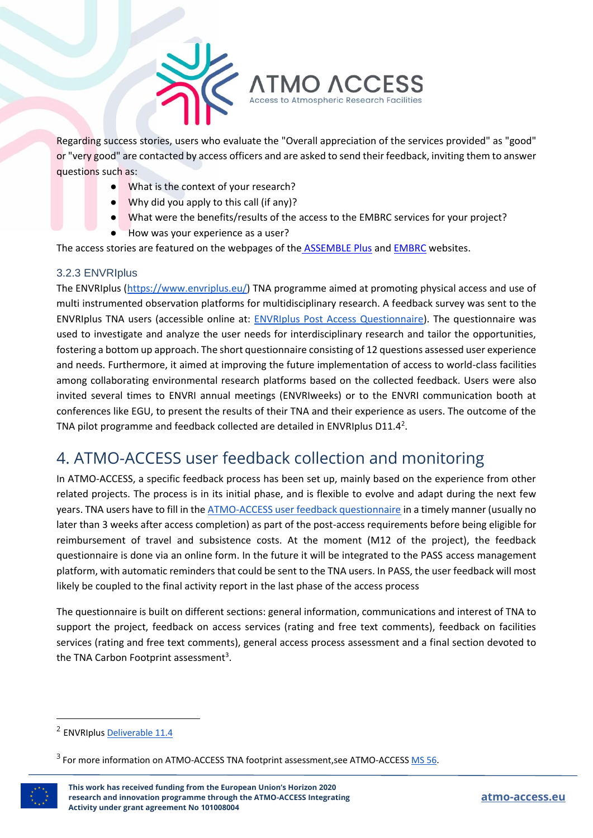

Regarding success stories, users who evaluate the "Overall appreciation of the services provided" as "good" or "very good" are contacted by access officers and are asked to send their feedback, inviting them to answer questions such as:

- What is the context of your research?
- Why did you apply to this call (if any)?
- What were the benefits/results of the access to the EMBRC services for your project?
- How was your experience as a user?

The access stories are featured on the webpages of the [ASSEMBLE Plus](http://www.assembleplus.eu/access/success-stories) and [EMBRC](https://embrc.eu/user-stories) websites.

#### <span id="page-6-0"></span>3.2.3 ENVRIplus

The ENVRIplus [\(https://www.envriplus.eu/\)](https://www.envriplus.eu/) TNA programme aimed at promoting physical access and use of multi instrumented observation platforms for multidisciplinary research. A feedback survey was sent to the ENVRIplus TNA users (accessible online at: [ENVRIplus Post Access Questionnaire\)](https://www.envriplus.eu/envriplus-post-access-questionnaire/). The questionnaire was used to investigate and analyze the user needs for interdisciplinary research and tailor the opportunities, fostering a bottom up approach. The short questionnaire consisting of 12 questions assessed user experience and needs. Furthermore, it aimed at improving the future implementation of access to world-class facilities among collaborating environmental research platforms based on the collected feedback. Users were also invited several times to ENVRI annual meetings (ENVRIweeks) or to the ENVRI communication booth at conferences like EGU, to present the results of their TNA and their experience as users. The outcome of the TNA pilot programme and feedback collected are detailed in ENVRIplus D11.4<sup>2</sup>.

## <span id="page-6-1"></span>4. ATMO-ACCESS user feedback collection and monitoring

In ATMO-ACCESS, a specific feedback process has been set up, mainly based on the experience from other related projects. The process is in its initial phase, and is flexible to evolve and adapt during the next few years. TNA users have to fill in th[e ATMO-ACCESS user feedback questionnaire](https://forms.gle/tgaH8qTtNketPVLB6) in a timely manner (usually no later than 3 weeks after access completion) as part of the post-access requirements before being eligible for reimbursement of travel and subsistence costs. At the moment (M12 of the project), the feedback questionnaire is done via an online form. In the future it will be integrated to the PASS access management platform, with automatic reminders that could be sent to the TNA users. In PASS, the user feedback will most likely be coupled to the final activity report in the last phase of the access process

The questionnaire is built on different sections: general information, communications and interest of TNA to support the project, feedback on access services (rating and free text comments), feedback on facilities services (rating and free text comments), general access process assessment and a final section devoted to the TNA Carbon Footprint assessment<sup>3</sup>.

<sup>&</sup>lt;sup>2</sup> ENVRIplus <u>Deliverable 11.4</u>

 $^3$  For more information on ATMO-ACCESS TNA footprint assessment,see ATMO-ACCESS  $\underline{\mathsf{MS}}$  56.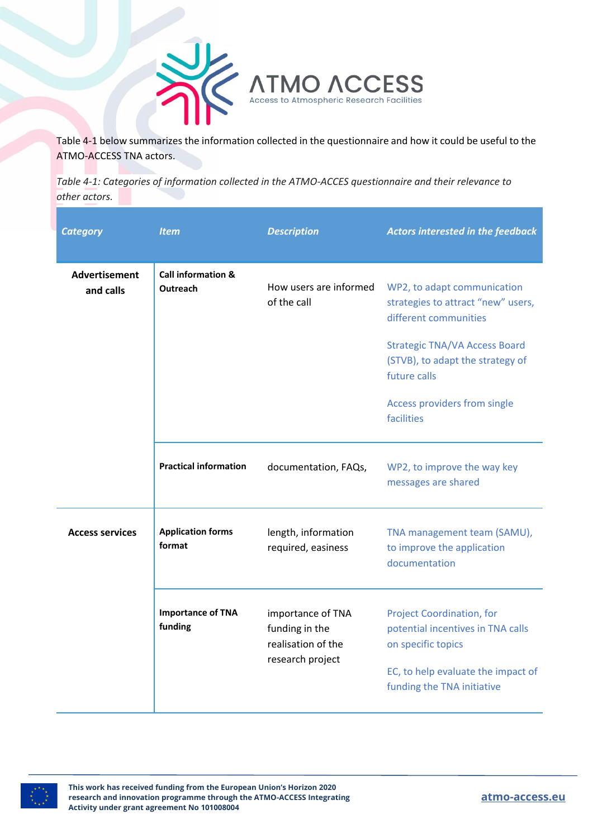

Table 4-1 below summarizes the information collected in the questionnaire and how it could be useful to the ATMO-ACCESS TNA actors.

*Table 4-1: Categories of information collected in the ATMO-ACCES questionnaire and their relevance to other actors.*

| <b>Category</b>                   | <b>Item</b>                               | <b>Description</b>                                                            | <b>Actors interested in the feedback</b>                                                    |
|-----------------------------------|-------------------------------------------|-------------------------------------------------------------------------------|---------------------------------------------------------------------------------------------|
| <b>Advertisement</b><br>and calls | <b>Call information &amp;</b><br>Outreach | How users are informed<br>of the call                                         | WP2, to adapt communication<br>strategies to attract "new" users,<br>different communities  |
|                                   |                                           |                                                                               | <b>Strategic TNA/VA Access Board</b><br>(STVB), to adapt the strategy of<br>future calls    |
|                                   |                                           |                                                                               | Access providers from single<br>facilities                                                  |
|                                   | <b>Practical information</b>              | documentation, FAQs,                                                          | WP2, to improve the way key<br>messages are shared                                          |
| <b>Access services</b>            | <b>Application forms</b><br>format        | length, information<br>required, easiness                                     | TNA management team (SAMU),<br>to improve the application<br>documentation                  |
|                                   | <b>Importance of TNA</b><br>funding       | importance of TNA<br>funding in the<br>realisation of the<br>research project | <b>Project Coordination, for</b><br>potential incentives in TNA calls<br>on specific topics |
|                                   |                                           |                                                                               | EC, to help evaluate the impact of<br>funding the TNA initiative                            |

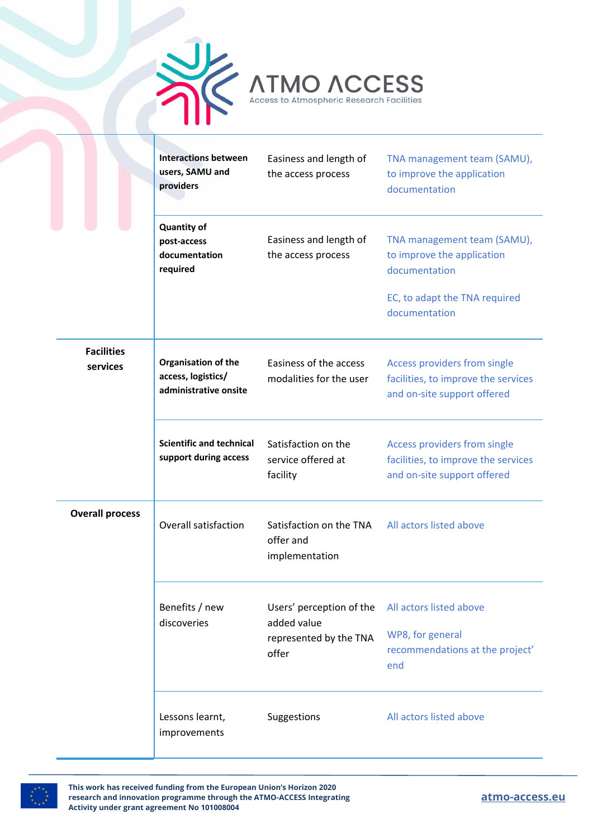



|                               | <b>Interactions between</b><br>users, SAMU and<br>providers        | Easiness and length of<br>the access process                               | TNA management team (SAMU),<br>to improve the application<br>documentation                                                   |
|-------------------------------|--------------------------------------------------------------------|----------------------------------------------------------------------------|------------------------------------------------------------------------------------------------------------------------------|
|                               | <b>Quantity of</b><br>post-access<br>documentation<br>required     | Easiness and length of<br>the access process                               | TNA management team (SAMU),<br>to improve the application<br>documentation<br>EC, to adapt the TNA required<br>documentation |
| <b>Facilities</b><br>services | Organisation of the<br>access, logistics/<br>administrative onsite | Easiness of the access<br>modalities for the user                          | Access providers from single<br>facilities, to improve the services<br>and on-site support offered                           |
|                               | <b>Scientific and technical</b><br>support during access           | Satisfaction on the<br>service offered at<br>facility                      | Access providers from single<br>facilities, to improve the services<br>and on-site support offered                           |
| <b>Overall process</b>        | Overall satisfaction                                               | Satisfaction on the TNA<br>offer and<br>implementation                     | All actors listed above                                                                                                      |
|                               | Benefits / new<br>discoveries                                      | Users' perception of the<br>added value<br>represented by the TNA<br>offer | All actors listed above<br>WP8, for general<br>recommendations at the project'<br>end                                        |
|                               | Lessons learnt,<br>improvements                                    | Suggestions                                                                | All actors listed above                                                                                                      |